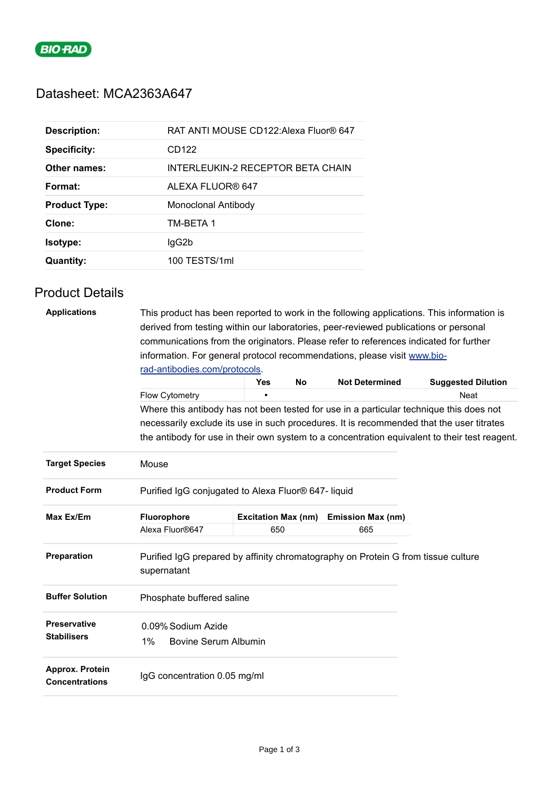

## Datasheet: MCA2363A647

| <b>Description:</b>  | RAT ANTI MOUSE CD122: Alexa Fluor® 647 |
|----------------------|----------------------------------------|
| <b>Specificity:</b>  | CD122                                  |
| Other names:         | INTERLEUKIN-2 RECEPTOR BETA CHAIN      |
| Format:              | ALEXA FLUOR® 647                       |
| <b>Product Type:</b> | Monoclonal Antibody                    |
| Clone:               | TM-BETA 1                              |
| <b>Isotype:</b>      |                                        |
|                      | lgG2b                                  |

## Product Details

| <b>Applications</b>                      | This product has been reported to work in the following applications. This information is<br>derived from testing within our laboratories, peer-reviewed publications or personal<br>communications from the originators. Please refer to references indicated for further |                            |           |                          |                           |  |  |  |
|------------------------------------------|----------------------------------------------------------------------------------------------------------------------------------------------------------------------------------------------------------------------------------------------------------------------------|----------------------------|-----------|--------------------------|---------------------------|--|--|--|
|                                          | information. For general protocol recommendations, please visit www.bio-                                                                                                                                                                                                   |                            |           |                          |                           |  |  |  |
|                                          | rad-antibodies.com/protocols.                                                                                                                                                                                                                                              | <b>Yes</b>                 | <b>No</b> | <b>Not Determined</b>    | <b>Suggested Dilution</b> |  |  |  |
|                                          | Flow Cytometry                                                                                                                                                                                                                                                             |                            |           |                          | Neat                      |  |  |  |
|                                          | Where this antibody has not been tested for use in a particular technique this does not                                                                                                                                                                                    |                            |           |                          |                           |  |  |  |
|                                          | necessarily exclude its use in such procedures. It is recommended that the user titrates                                                                                                                                                                                   |                            |           |                          |                           |  |  |  |
|                                          | the antibody for use in their own system to a concentration equivalent to their test reagent.                                                                                                                                                                              |                            |           |                          |                           |  |  |  |
| <b>Target Species</b>                    | Mouse                                                                                                                                                                                                                                                                      |                            |           |                          |                           |  |  |  |
| <b>Product Form</b>                      | Purified IgG conjugated to Alexa Fluor® 647- liquid                                                                                                                                                                                                                        |                            |           |                          |                           |  |  |  |
| Max Ex/Em                                | <b>Fluorophore</b>                                                                                                                                                                                                                                                         | <b>Excitation Max (nm)</b> |           | <b>Emission Max (nm)</b> |                           |  |  |  |
|                                          | Alexa Fluor®647                                                                                                                                                                                                                                                            | 650                        |           | 665                      |                           |  |  |  |
| Preparation                              | Purified IgG prepared by affinity chromatography on Protein G from tissue culture<br>supernatant                                                                                                                                                                           |                            |           |                          |                           |  |  |  |
| <b>Buffer Solution</b>                   | Phosphate buffered saline                                                                                                                                                                                                                                                  |                            |           |                          |                           |  |  |  |
| <b>Preservative</b>                      | 0.09% Sodium Azide                                                                                                                                                                                                                                                         |                            |           |                          |                           |  |  |  |
| <b>Stabilisers</b>                       | 1%<br><b>Bovine Serum Albumin</b>                                                                                                                                                                                                                                          |                            |           |                          |                           |  |  |  |
| Approx. Protein<br><b>Concentrations</b> | IgG concentration 0.05 mg/ml                                                                                                                                                                                                                                               |                            |           |                          |                           |  |  |  |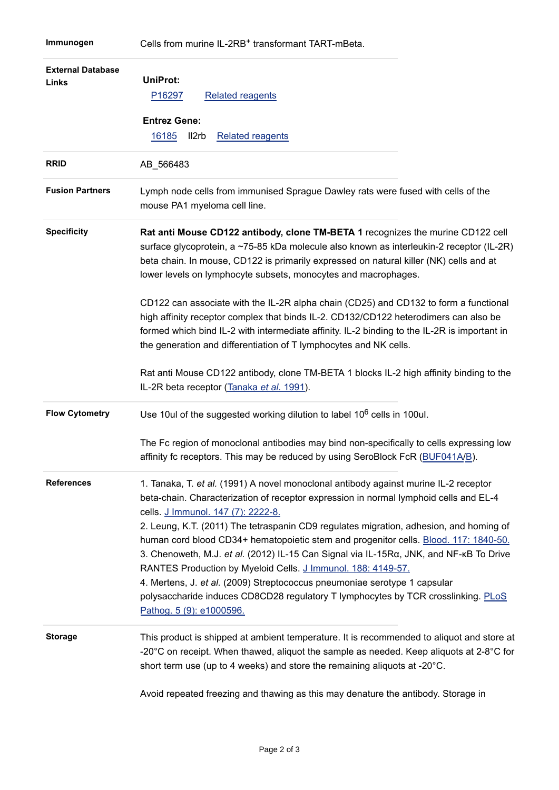| <b>External Database</b><br>Links | <b>UniProt:</b><br>P16297<br><b>Related reagents</b><br><b>Entrez Gene:</b><br>16185<br>Il2rb<br><b>Related reagents</b>                                                                                                                                                                                                                                                                                                                                                                                                                                                                                                                                                                                                                                                                                                             |
|-----------------------------------|--------------------------------------------------------------------------------------------------------------------------------------------------------------------------------------------------------------------------------------------------------------------------------------------------------------------------------------------------------------------------------------------------------------------------------------------------------------------------------------------------------------------------------------------------------------------------------------------------------------------------------------------------------------------------------------------------------------------------------------------------------------------------------------------------------------------------------------|
| <b>RRID</b>                       | AB_566483                                                                                                                                                                                                                                                                                                                                                                                                                                                                                                                                                                                                                                                                                                                                                                                                                            |
| <b>Fusion Partners</b>            | Lymph node cells from immunised Sprague Dawley rats were fused with cells of the<br>mouse PA1 myeloma cell line.                                                                                                                                                                                                                                                                                                                                                                                                                                                                                                                                                                                                                                                                                                                     |
| <b>Specificity</b>                | Rat anti Mouse CD122 antibody, clone TM-BETA 1 recognizes the murine CD122 cell<br>surface glycoprotein, a ~75-85 kDa molecule also known as interleukin-2 receptor (IL-2R)<br>beta chain. In mouse, CD122 is primarily expressed on natural killer (NK) cells and at<br>lower levels on lymphocyte subsets, monocytes and macrophages.<br>CD122 can associate with the IL-2R alpha chain (CD25) and CD132 to form a functional<br>high affinity receptor complex that binds IL-2. CD132/CD122 heterodimers can also be<br>formed which bind IL-2 with intermediate affinity. IL-2 binding to the IL-2R is important in<br>the generation and differentiation of T lymphocytes and NK cells.<br>Rat anti Mouse CD122 antibody, clone TM-BETA 1 blocks IL-2 high affinity binding to the<br>IL-2R beta receptor (Tanaka et al. 1991). |
| <b>Flow Cytometry</b>             | Use 10ul of the suggested working dilution to label 10 <sup>6</sup> cells in 100ul.<br>The Fc region of monoclonal antibodies may bind non-specifically to cells expressing low<br>affinity fc receptors. This may be reduced by using SeroBlock FcR (BUF041A/B).                                                                                                                                                                                                                                                                                                                                                                                                                                                                                                                                                                    |
| <b>References</b>                 | 1. Tanaka, T. et al. (1991) A novel monoclonal antibody against murine IL-2 receptor<br>beta-chain. Characterization of receptor expression in normal lymphoid cells and EL-4<br>cells. J Immunol. 147 (7): 2222-8.<br>2. Leung, K.T. (2011) The tetraspanin CD9 regulates migration, adhesion, and homing of<br>human cord blood CD34+ hematopoietic stem and progenitor cells. Blood. 117: 1840-50.<br>3. Chenoweth, M.J. et al. (2012) IL-15 Can Signal via IL-15Ra, JNK, and NF-KB To Drive<br>RANTES Production by Myeloid Cells. J Immunol. 188: 4149-57.<br>4. Mertens, J. et al. (2009) Streptococcus pneumoniae serotype 1 capsular<br>polysaccharide induces CD8CD28 regulatory T lymphocytes by TCR crosslinking. PLoS<br>Pathog. 5 (9): e1000596.                                                                        |
| <b>Storage</b>                    | This product is shipped at ambient temperature. It is recommended to aliquot and store at<br>-20 $^{\circ}$ C on receipt. When thawed, aliquot the sample as needed. Keep aliquots at 2-8 $^{\circ}$ C for<br>short term use (up to 4 weeks) and store the remaining aliquots at -20°C.                                                                                                                                                                                                                                                                                                                                                                                                                                                                                                                                              |

Avoid repeated freezing and thawing as this may denature the antibody. Storage in